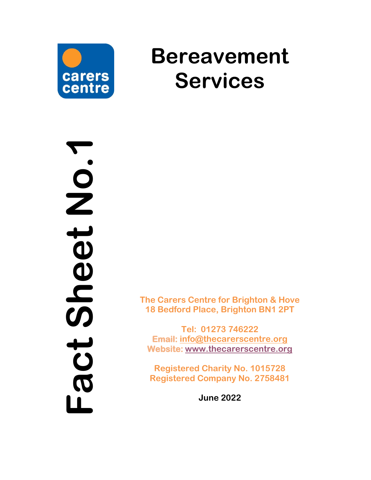

# **Bereavement Services**

**Fact Sheet No.1** heet No.1  $\boldsymbol{\omega}$ toc  $\begin{array}{c} \hline \end{array}$ 

**The Carers Centre for Brighton & Hove 18 Bedford Place, Brighton BN1 2PT**

**Tel: 01273 746222 Email: [info@thecarerscentre.org](mailto:info@thecarerscentre.org) Website: [www.thecarerscentre.org](http://www.thecarerscentre.org/)**

**Registered Charity No. 1015728 Registered Company No. 2758481**

**June 20 2 2**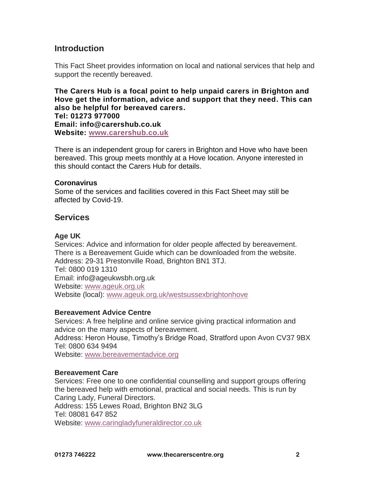# **Introduction**

This Fact Sheet provides information on local and national services that help and support the recently bereaved.

**The Carers Hub is a focal point to help unpaid carers in Brighton and Hove get the information, advice and support that they need. This can also be helpful for bereaved carers. Tel: 01273 977000 Email: info@carershub.co.uk Website: [www.carershub.co.uk](http://www.carershub.co.uk/)**

There is an independent group for carers in Brighton and Hove who have been bereaved. This group meets monthly at a Hove location. Anyone interested in this should contact the Carers Hub for details.

#### **Coronavirus**

Some of the services and facilities covered in this Fact Sheet may still be affected by Covid-19.

## **Services**

## **Age UK**

Services: Advice and information for older people affected by bereavement. There is a Bereavement Guide which can be downloaded from the website. Address: 29-31 Prestonville Road, Brighton BN1 3TJ. Tel: 0800 019 1310 Email: info@ageukwsbh.org.uk Website: [www.ageuk.org.uk](http://www.ageuk.org.uk/) Website (local): [www.ageuk.org.uk/westsussexbrightonhove](http://www.ageuk.org.uk/westsussexbrightonhove)

## **Bereavement Advice Centre**

Services: A free helpline and online service giving practical information and advice on the many aspects of bereavement. Address: Heron House, Timothy's Bridge Road, Stratford upon Avon CV37 9BX Tel: 0800 634 9494 Website: [www.bereavementadvice.org](http://www.bereavementadvice.org/)

## **Bereavement Care**

Services: Free one to one confidential counselling and support groups offering the bereaved help with emotional, practical and social needs. This is run by Caring Lady, Funeral Directors. Address: 155 Lewes Road, Brighton BN2 3LG Tel: 08081 647 852 Website: [www.caringladyfuneraldirector.co.uk](http://www.caringladyfuneraldirector.co.uk/)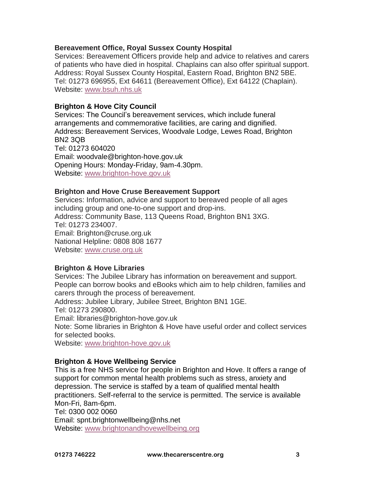## **Bereavement Office, Royal Sussex County Hospital**

Services: Bereavement Officers provide help and advice to relatives and carers of patients who have died in hospital. Chaplains can also offer spiritual support. Address: Royal Sussex County Hospital, Eastern Road, Brighton BN2 5BE. Tel: 01273 696955, Ext 64611 (Bereavement Office), Ext 64122 (Chaplain). Website: [www.bsuh.nhs.uk](http://www.bsuh.nhs.uk/)

## **Brighton & Hove City Council**

Services: The Council's bereavement services, which include funeral arrangements and commemorative facilities, are caring and dignified. Address: Bereavement Services, Woodvale Lodge, Lewes Road, Brighton BN2 3QB Tel: 01273 604020 Email: woodvale@brighton-hove.gov.uk Opening Hours: Monday-Friday, 9am-4.30pm. Website: [www.brighton-hove.gov.uk](http://www.brighton-hove.gov.uk/)

#### **Brighton and Hove Cruse Bereavement Support**

Services: Information, advice and support to bereaved people of all ages including group and one-to-one support and drop-ins. Address: Community Base, 113 Queens Road, Brighton BN1 3XG. Tel: 01273 234007. Email: Brighton@cruse.org.uk National Helpline: 0808 808 1677 Website: [www.cruse.org.uk](http://www.cruse.org.uk/)

#### **Brighton & Hove Libraries**

Services: The Jubilee Library has information on bereavement and support. People can borrow books and eBooks which aim to help children, families and carers through the process of bereavement.

Address: Jubilee Library, Jubilee Street, Brighton BN1 1GE.

Tel: 01273 290800.

Email: libraries@brighton-hove.gov.uk

Note: Some libraries in Brighton & Hove have useful order and collect services for selected books.

Website: [www.brighton-hove.gov.uk](http://www.brighton-hove.gov.uk/)

#### **Brighton & Hove Wellbeing Service**

This is a free NHS service for people in Brighton and Hove. It offers a range of support for common mental health problems such as stress, anxiety and depression. The service is staffed by a team of qualified mental health practitioners. Self-referral to the service is permitted. The service is available Mon-Fri, 8am-6pm. Tel: 0300 002 0060 Email: spnt.brightonwellbeing@nhs.net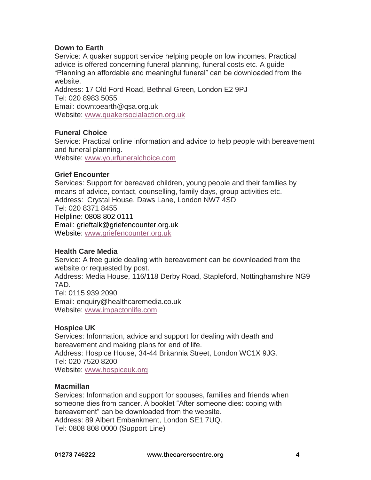## **Down to Earth**

Service: A quaker support service helping people on low incomes. Practical advice is offered concerning funeral planning, funeral costs etc. A guide "Planning an affordable and meaningful funeral" can be downloaded from the website.

Address: 17 Old Ford Road, Bethnal Green, London E2 9PJ Tel: 020 8983 5055 Email: downtoearth@qsa.org.uk Website: [www.quakersocialaction.org.uk](http://www.quakersocialaction.org.uk/)

## **Funeral Choice**

Service: Practical online information and advice to help people with bereavement and funeral planning.

Website: [www.yourfuneralchoice.com](http://www.yourfuneralchoice.com/)

## **Grief Encounter**

Services: Support for bereaved children, young people and their families by means of advice, contact, counselling, family days, group activities etc. Address: Crystal House, Daws Lane, London NW7 4SD Tel: 020 8371 8455 Helpline: 0808 802 0111 Email: grieftalk@griefencounter.org.uk Website: [www.griefencounter.org.uk](http://www.griefencounter.org.uk/)

#### **Health Care Media**

Service: A free guide dealing with bereavement can be downloaded from the website or requested by post. Address: Media House, 116/118 Derby Road, Stapleford, Nottinghamshire NG9 7AD. Tel: 0115 939 2090 Email: enquiry@healthcaremedia.co.uk Website: [www.impactonlife.com](http://www.impactonlife.com/)

## **Hospice UK**

Services: Information, advice and support for dealing with death and bereavement and making plans for end of life. Address: Hospice House, 34-44 Britannia Street, London WC1X 9JG. Tel: 020 7520 8200 Website: [www.hospiceuk.org](http://www.hospiceuk.org/)

#### **Macmillan**

Services: Information and support for spouses, families and friends when someone dies from cancer. A booklet "After someone dies: coping with bereavement" can be downloaded from the website. Address: 89 Albert Embankment, London SE1 7UQ. Tel: 0808 808 0000 (Support Line)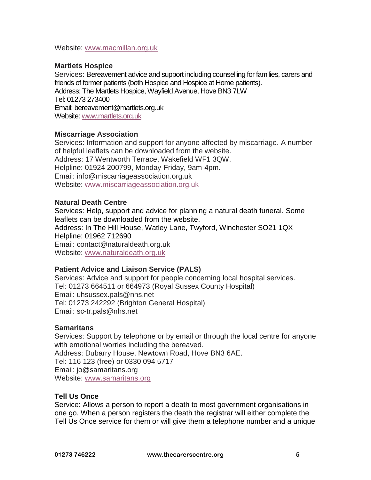Website: [www.macmillan.org.uk](http://www.macmillan.org.uk/)

## **Martlets Hospice**

Services: Bereavement advice and support including counselling for families, carers and friends of former patients (both Hospice and Hospice at Home patients). Address: The Martlets Hospice, Wayfield Avenue, Hove BN3 7LW Tel: 01273 273400 Email: bereavement@martlets.org.uk Website: [www.martlets.org.uk](http://www.martlets.org.uk/)

## **Miscarriage Association**

Services: Information and support for anyone affected by miscarriage. A number of helpful leaflets can be downloaded from the website. Address: 17 Wentworth Terrace, Wakefield WF1 3QW. Helpline: 01924 200799, Monday-Friday, 9am-4pm. Email: info@miscarriageassociation.org.uk Website: [www.miscarriageassociation.org.uk](http://www.miscarriageassociation.org.uk/)

## **Natural Death Centre**

Services: Help, support and advice for planning a natural death funeral. Some leaflets can be downloaded from the website. Address: In The Hill House, Watley Lane, Twyford, Winchester SO21 1QX Helpline: 01962 712690 Email: contact@naturaldeath.org.uk Website: [www.naturaldeath.org.uk](http://www.naturaldeath.org.uk/)

## **Patient Advice and Liaison Service (PALS)**

Services: Advice and support for people concerning local hospital services. Tel: 01273 664511 or 664973 (Royal Sussex County Hospital) Email: uhsussex.pals@nhs.net Tel: 01273 242292 (Brighton General Hospital) Email: sc-tr.pals@nhs.net

## **Samaritans**

Services: Support by telephone or by email or through the local centre for anyone with emotional worries including the bereaved. Address: Dubarry House, Newtown Road, Hove BN3 6AE. Tel: 116 123 (free) or 0330 094 5717 Email: jo@samaritans.org Website: [www.samaritans.org](http://www.samaritans.org/)

## **Tell Us Once**

Service: Allows a person to report a death to most government organisations in one go. When a person [registers the death](https://www.gov.uk/after-a-death/register-the-death) the registrar will either complete the Tell Us Once service for them or will give them a telephone number and a unique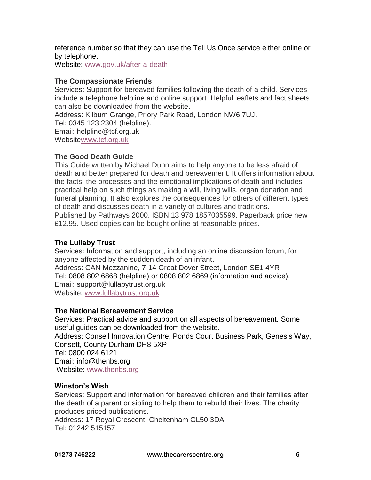reference number so that they can use the [Tell Us Once service either online](https://death-tellusonce.direct.gov.uk/Death/Enrich/Recover/) or by telephone.

Website: [www.gov.uk/after-a-death](http://www.gov.uk/after-a-death)

#### **The Compassionate Friends**

Services: Support for bereaved families following the death of a child. Services include a telephone helpline and online support. Helpful leaflets and fact sheets can also be downloaded from the website.

Address: Kilburn Grange, Priory Park Road, London NW6 7UJ. Tel: 0345 123 2304 (helpline).

Email: helpline@tcf.org.uk

Websit[ewww.tcf.org.uk](http://www.tcf.org.uk/)

## **The Good Death Guide**

This Guide written by Michael Dunn aims to help anyone to be less afraid of death and better prepared for death and bereavement. It offers information about the facts, the processes and the emotional implications of death and includes practical help on such things as making a will, living wills, organ donation and funeral planning. It also explores the consequences for others of different types of death and discusses death in a variety of cultures and traditions. Published by Pathways 2000. ISBN 13 978 1857035599. Paperback price new £12.95. Used copies can be bought online at reasonable prices.

## **The Lullaby Trust**

Services: Information and support, including an online discussion forum, for anyone affected by the sudden death of an infant.

Address: CAN Mezzanine, 7-14 Great Dover Street, London SE1 4YR Tel: 0808 802 6868 (helpline) or 0808 802 6869 (information and advice). Email: support@lullabytrust.org.uk Website: [www.lullabytrust.org.uk](http://www.lullabytrust.org.uk/)

## **The National Bereavement Service**

Services: Practical advice and support on all aspects of bereavement. Some useful guides can be downloaded from the website. Address: Consell Innovation Centre, Ponds Court Business Park, Genesis Way, Consett, County Durham DH8 5XP Tel: 0800 024 6121 Email: info@thenbs.org Website: [www.thenbs.org](http://www.thenbs.org/)

## **Winston's Wish**

Services: Support and information for bereaved children and their families after the death of a parent or sibling to help them to rebuild their lives. The charity produces priced publications.

Address: 17 Royal Crescent, Cheltenham GL50 3DA Tel: 01242 515157